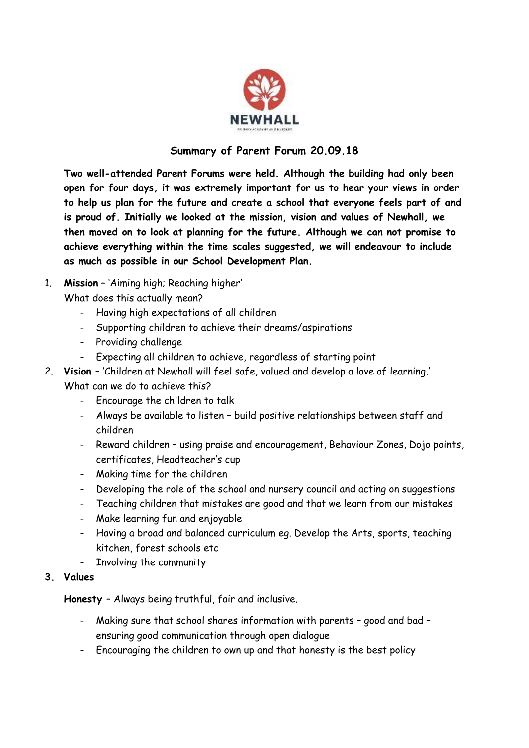

## **Summary of Parent Forum 20.09.18**

**Two well-attended Parent Forums were held. Although the building had only been open for four days, it was extremely important for us to hear your views in order to help us plan for the future and create a school that everyone feels part of and is proud of. Initially we looked at the mission, vision and values of Newhall, we then moved on to look at planning for the future. Although we can not promise to achieve everything within the time scales suggested, we will endeavour to include as much as possible in our School Development Plan.**

1. **Mission** – 'Aiming high; Reaching higher'

What does this actually mean?

- Having high expectations of all children
- Supporting children to achieve their dreams/aspirations
- Providing challenge
- Expecting all children to achieve, regardless of starting point
- 2. **Vision**  'Children at Newhall will feel safe, valued and develop a love of learning.' What can we do to achieve this?
	- Encourage the children to talk
	- Always be available to listen build positive relationships between staff and children
	- Reward children using praise and encouragement, Behaviour Zones, Dojo points, certificates, Headteacher's cup
	- Making time for the children
	- Developing the role of the school and nursery council and acting on suggestions
	- Teaching children that mistakes are good and that we learn from our mistakes
	- Make learning fun and enjoyable
	- Having a broad and balanced curriculum eg. Develop the Arts, sports, teaching kitchen, forest schools etc
	- Involving the community
- **3. Values**

**Honesty** – Always being truthful, fair and inclusive.

- Making sure that school shares information with parents good and bad ensuring good communication through open dialogue
- Encouraging the children to own up and that honesty is the best policy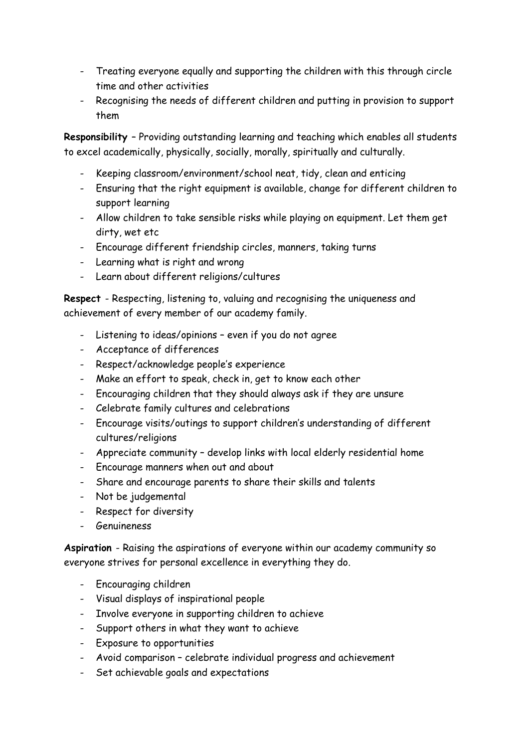- Treating everyone equally and supporting the children with this through circle time and other activities
- Recognising the needs of different children and putting in provision to support them

**Responsibility** – Providing outstanding learning and teaching which enables all students to excel academically, physically, socially, morally, spiritually and culturally.

- Keeping classroom/environment/school neat, tidy, clean and enticing
- Ensuring that the right equipment is available, change for different children to support learning
- Allow children to take sensible risks while playing on equipment. Let them get dirty, wet etc
- Encourage different friendship circles, manners, taking turns
- Learning what is right and wrong
- Learn about different religions/cultures

**Respect** - Respecting, listening to, valuing and recognising the uniqueness and achievement of every member of our academy family.

- Listening to ideas/opinions even if you do not agree
- Acceptance of differences
- Respect/acknowledge people's experience
- Make an effort to speak, check in, get to know each other
- Encouraging children that they should always ask if they are unsure
- Celebrate family cultures and celebrations
- Encourage visits/outings to support children's understanding of different cultures/religions
- Appreciate community develop links with local elderly residential home
- Encourage manners when out and about
- Share and encourage parents to share their skills and talents
- Not be judgemental
- Respect for diversity
- Genuineness

**Aspiration** - Raising the aspirations of everyone within our academy community so everyone strives for personal excellence in everything they do.

- Encouraging children
- Visual displays of inspirational people
- Involve everyone in supporting children to achieve
- Support others in what they want to achieve
- Exposure to opportunities
- Avoid comparison celebrate individual progress and achievement
- Set achievable goals and expectations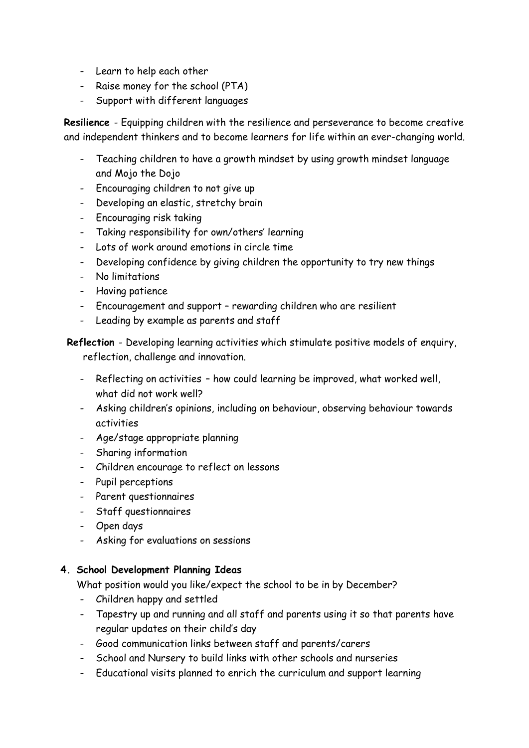- Learn to help each other
- Raise money for the school (PTA)
- Support with different languages

**Resilience** - Equipping children with the resilience and perseverance to become creative and independent thinkers and to become learners for life within an ever-changing world.

- Teaching children to have a growth mindset by using growth mindset language and Mojo the Dojo
- Encouraging children to not give up
- Developing an elastic, stretchy brain
- Encouraging risk taking
- Taking responsibility for own/others' learning
- Lots of work around emotions in circle time
- Developing confidence by giving children the opportunity to try new things
- No limitations
- Having patience
- Encouragement and support rewarding children who are resilient
- Leading by example as parents and staff

## **Reflection** - Developing learning activities which stimulate positive models of enquiry, reflection, challenge and innovation.

- Reflecting on activities how could learning be improved, what worked well, what did not work well?
- Asking children's opinions, including on behaviour, observing behaviour towards activities
- Age/stage appropriate planning
- Sharing information
- Children encourage to reflect on lessons
- Pupil perceptions
- Parent questionnaires
- Staff questionnaires
- Open days
- Asking for evaluations on sessions

## **4. School Development Planning Ideas**

What position would you like/expect the school to be in by December?

- Children happy and settled
- Tapestry up and running and all staff and parents using it so that parents have regular updates on their child's day
- Good communication links between staff and parents/carers
- School and Nursery to build links with other schools and nurseries
- Educational visits planned to enrich the curriculum and support learning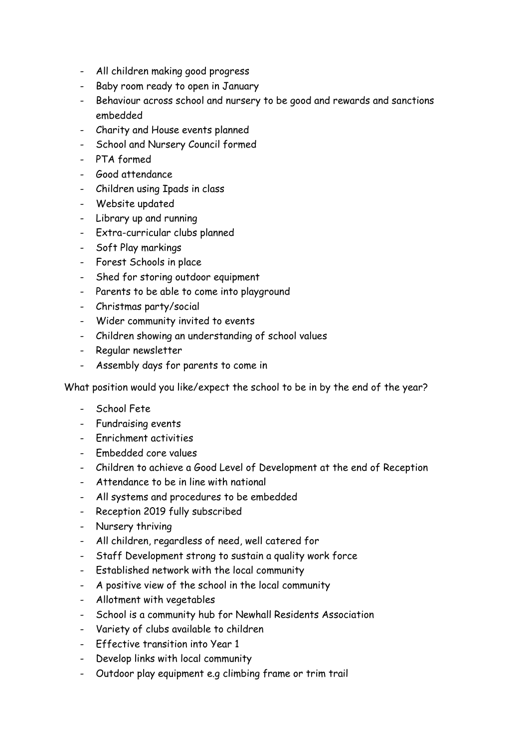- All children making good progress
- Baby room ready to open in January
- Behaviour across school and nursery to be good and rewards and sanctions embedded
- Charity and House events planned
- School and Nursery Council formed
- PTA formed
- Good attendance
- Children using Ipads in class
- Website updated
- Library up and running
- Extra-curricular clubs planned
- Soft Play markings
- Forest Schools in place
- Shed for storing outdoor equipment
- Parents to be able to come into playground
- Christmas party/social
- Wider community invited to events
- Children showing an understanding of school values
- Regular newsletter
- Assembly days for parents to come in

What position would you like/expect the school to be in by the end of the year?

- School Fete
- Fundraising events
- Enrichment activities
- Embedded core values
- Children to achieve a Good Level of Development at the end of Reception
- Attendance to be in line with national
- All systems and procedures to be embedded
- Reception 2019 fully subscribed
- Nursery thriving
- All children, regardless of need, well catered for
- Staff Development strong to sustain a quality work force
- Established network with the local community
- A positive view of the school in the local community
- Allotment with vegetables
- School is a community hub for Newhall Residents Association
- Variety of clubs available to children
- Effective transition into Year 1
- Develop links with local community
- Outdoor play equipment e.g climbing frame or trim trail